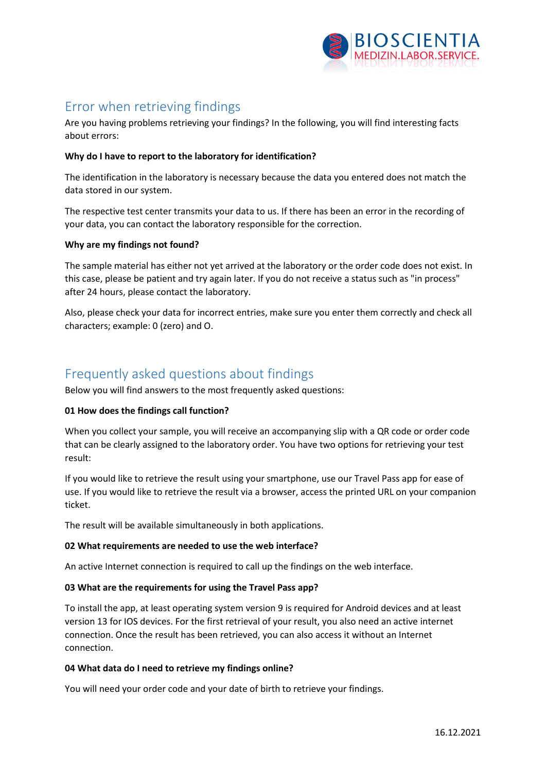

# Error when retrieving findings

Are you having problems retrieving your findings? In the following, you will find interesting facts about errors:

## **Why do I have to report to the laboratory for identification?**

The identification in the laboratory is necessary because the data you entered does not match the data stored in our system.

The respective test center transmits your data to us. If there has been an error in the recording of your data, you can contact the laboratory responsible for the correction.

## **Why are my findings not found?**

The sample material has either not yet arrived at the laboratory or the order code does not exist. In this case, please be patient and try again later. If you do not receive a status such as "in process" after 24 hours, please contact the laboratory.

Also, please check your data for incorrect entries, make sure you enter them correctly and check all characters; example: 0 (zero) and O.

# Frequently asked questions about findings

Below you will find answers to the most frequently asked questions:

#### **01 How does the findings call function?**

When you collect your sample, you will receive an accompanying slip with a QR code or order code that can be clearly assigned to the laboratory order. You have two options for retrieving your test result:

If you would like to retrieve the result using your smartphone, use our Travel Pass app for ease of use. If you would like to retrieve the result via a browser, access the printed URL on your companion ticket.

The result will be available simultaneously in both applications.

#### **02 What requirements are needed to use the web interface?**

An active Internet connection is required to call up the findings on the web interface.

#### **03 What are the requirements for using the Travel Pass app?**

To install the app, at least operating system version 9 is required for Android devices and at least version 13 for IOS devices. For the first retrieval of your result, you also need an active internet connection. Once the result has been retrieved, you can also access it without an Internet connection.

#### **04 What data do I need to retrieve my findings online?**

You will need your order code and your date of birth to retrieve your findings.